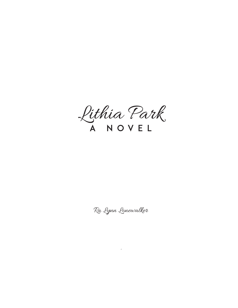Lithia Park A Novel

Ra Lynn Lonewalker

in the contract of the contract of the contract of the contract of the contract of the contract of the contract of the contract of the contract of the contract of the contract of the contract of the contract of the contrac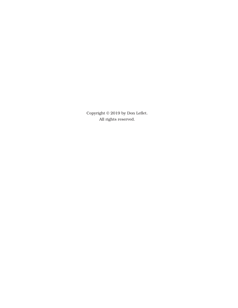Copyright © 2019 by Don Leflet. All rights reserved.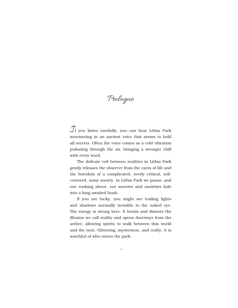Prologue

 $\mathcal{I}_f$  you listen carefully, you can hear Lithia Park murmuring in an ancient voice that seems to hold all secrets. Often the voice comes as a cold vibration pulsating through the air, bringing a stronger chill with every word.

The delicate veil between realities in Lithia Park gently releases the observer from the cares of life and the boredom of a complicated, overly critical, selfcentered, noisy society. In Lithia Park we pause, and our rushing about, our sorrows and anxieties fade into a long-awaited hush.

If you are lucky, you might see trailing lights and shadows normally invisible to the naked eye. The energy is strong here. It bends and distorts the illusion we call reality and opens doorways from the aether, allowing spirits to walk between this world and the next. Glittering, mysterious, and crafty, it is watchful of who enters the park.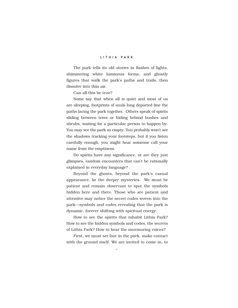The park tells its old stories in flashes of lights, shimmering white luminous forms, and ghostly figures that walk the park's paths and trails, then dissolve into thin air.

Can all this be true?

Some say that when all is quiet and most of us are sleeping, footprints of souls long departed line the paths lacing the park together. Others speak of spirits sliding between trees or hiding behind bushes and shrubs, waiting for a particular person to happen by. You may see the park as empty. You probably won't see the shadows tracking your footsteps, but if you listen carefully enough, you might hear someone call your name from the emptiness.

Do spirits have any significance, or are they just glimpses, random encounters that can't be rationally explained in everyday language?

Beyond the ghosts, beyond the park's casual appearance, lie the deeper mysteries. We must be patient and remain observant to spot the symbols hidden here and there. Those who are patient and attentive may notice the secret codes woven into the park—symbols and codes revealing that the park is dynamic, forever shifting with spiritual energy.

How to see the spirits that inhabit Lithia Park? How to see the hidden symbols and codes, the secrets of Lithia Park? How to hear the murmuring voices?

First, we must set foot in the park, make contact with the ground itself. We are invited to come in, to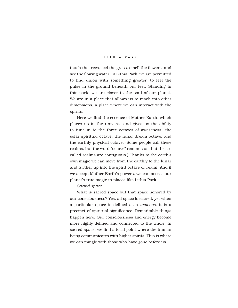touch the trees, feel the grass, smell the flowers, and see the flowing water. In Lithia Park, we are permitted to find union with something greater, to feel the pulse in the ground beneath our feet. Standing in this park, we are closer to the soul of our planet. We are in a place that allows us to reach into other dimensions, a place where we can interact with the spirits.

Here we find the essence of Mother Earth, which places us in the universe and gives us the ability to tune in to the three octaves of awareness—the solar spiritual octave, the lunar dream octave, and the earthly physical octave. (Some people call these realms, but the word "octave" reminds us that the socalled realms are contiguous.) Thanks to the earth's own magic we can move from the earthly to the lunar and further up into the spirit octave or realm. And if we accept Mother Earth's powers, we can access our planet's true magic in places like Lithia Park.

*Sacred space*.

What is sacred space but that space honored by our consciousness? Yes, all space is sacred, yet when a particular space is defined as a *temenos*, it is a precinct of spiritual significance. Remarkable things happen here. Our consciousness and energy become more highly defined and connected to the whole. In sacred space, we find a focal point where the human being communicates with higher spirits. This is where we can mingle with those who have gone before us.

v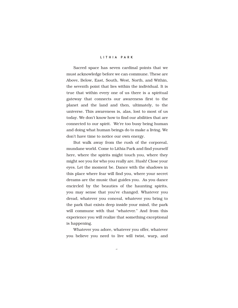Sacred space has seven cardinal points that we must acknowledge before we can commune. These are Above, Below, East, South, West, North, and Within, the seventh point that lies within the individual. It is true that within every one of us there is a spiritual gateway that connects our awareness first to the planet and the land and then, ultimately, to the universe. This awareness is, alas, lost to most of us today. We don't know how to find our abilities that are connected to our spirit. We're too busy being human and doing what human beings do to make a living. We don't have time to notice our own energy.

But walk away from the rush of the corporeal, mundane world. Come to Lithia Park and find yourself here, where the spirits might touch you, where they might see you for who you really are. Hush! Close your eyes. Let the moment be. Dance with the shadows in this place where fear will find you, where your secret dreams are the music that guides you. As you dance encircled by the beauties of the haunting spirits, you may sense that you've changed. Whatever you dread, whatever you conceal, whatever you bring to the park that exists deep inside your mind, the park will commune with that "whatever." And from this experience you will realize that something exceptional is happening.

Whatever you adore, whatever you offer, whatever you believe you need to live will twist, warp, and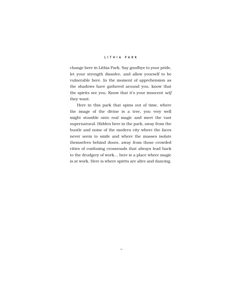change here in Lithia Park. Say goodbye to your pride, let your strength dissolve, and allow yourself to be vulnerable here. In the moment of apprehension as the shadows have gathered around you, know that the spirits see you. Know that it's your innocent *self* they want.

Here in this park that spins out of time, where the image of the divine is a tree, you very well might stumble onto real magic and meet the vast supernatural. Hidden here in the park, away from the bustle and noise of the modern city where the faces never seem to smile and where the masses isolate themselves behind doors, away from those crowded cities of confusing crossroads that always lead back to the drudgery of work… here is a place where magic is at work. Here is where spirits are alive and dancing.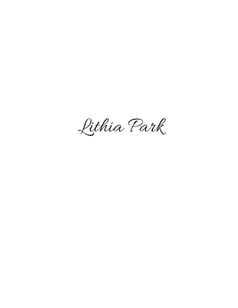Lithia Park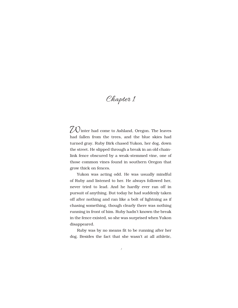# Chapter 1

 $70$  inter had come to Ashland, Oregon. The leaves had fallen from the trees, and the blue skies had turned gray. Ruby Birk chased Yukon, her dog, down the street. He slipped through a break in an old chainlink fence obscured by a weak-stemmed vine, one of those common vines found in southern Oregon that grow thick on fences.

Yukon was acting odd. He was usually mindful of Ruby and listened to her. He always followed her, never tried to lead. And he hardly ever ran off in pursuit of anything. But today he had suddenly taken off after nothing and ran like a bolt of lightning as if chasing something, though clearly there was nothing running in front of him. Ruby hadn't known the break in the fence existed, so she was surprised when Yukon disappeared.

Ruby was by no means fit to be running after her dog. Besides the fact that she wasn't at all athletic,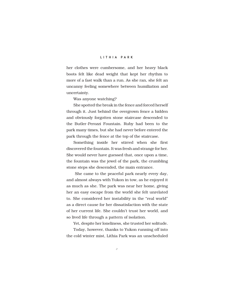her clothes were cumbersome, and her heavy black boots felt like dead weight that kept her rhythm to more of a fast walk than a run. As she ran, she felt an uncanny feeling somewhere between humiliation and uncertainty.

Was anyone watching?

She spotted the break in the fence and forced herself through it. Just behind the overgrown fence a hidden and obviously forgotten stone staircase descended to the Butler-Perozzi Fountain. Ruby had been to the park many times, but she had never before entered the park through the fence at the top of the staircase.

Something inside her stirred when she first discovered the fountain. It was fresh and strange for her. She would never have guessed that, once upon a time, the fountain was the jewel of the park, the crumbling stone steps she descended, the main entrance.

 She came to the peaceful park nearly every day, and almost always with Yukon in tow, as he enjoyed it as much as she. The park was near her home, giving her an easy escape from the world she felt unrelated to. She considered her instability in the "real world" as a direct cause for her dissatisfaction with the state of her current life. She couldn't trust her world, and so lived life through a pattern of isolation.

Yet, despite her loneliness, she trusted her solitude.

Today, however, thanks to Yukon running off into the cold winter mist, Lithia Park was an unscheduled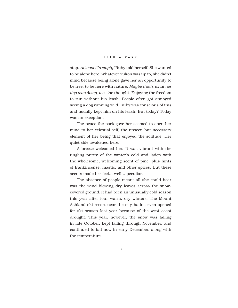stop. *At least it's empty!* Ruby told herself. She wanted to be alone here. Whatever Yukon was up to, she didn't mind because being alone gave her an opportunity to be free, to be here with nature. *Maybe that's what her dog was doing, too,* she thought. Enjoying the freedom to run without his leash. People often got annoyed seeing a dog running wild. Ruby was conscious of this and usually kept him on his leash. But today? Today was an exception.

The peace the park gave her seemed to open her mind to her celestial-self, the unseen but necessary element of her being that enjoyed the solitude. Her quiet side awakened here.

A breeze welcomed her. It was vibrant with the tingling purity of the winter's cold and laden with the wholesome, welcoming scent of pine, plus hints of frankincense, mastic, and other spices. But these scents made her feel… well… peculiar.

The absence of people meant all she could hear was the wind blowing dry leaves across the snowcovered ground. It had been an unusually cold season this year after four warm, dry winters. The Mount Ashland ski resort near the city hadn't even opened for ski season last year because of the west coast drought. This year, however, the snow was falling in late October, kept falling through November, and continued to fall now in early December, along with the temperature.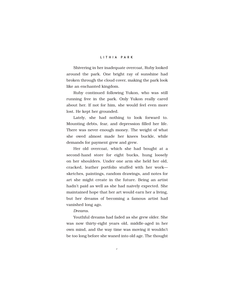Shivering in her inadequate overcoat, Ruby looked around the park. One bright ray of sunshine had broken through the cloud cover, making the park look like an enchanted kingdom.

Ruby continued following Yukon, who was still running free in the park. Only Yukon really cared about her. If not for him, she would feel even more lost. He kept her grounded.

Lately, she had nothing to look forward to. Mounting debts, fear, and depression filled her life. There was never enough money. The weight of what she owed almost made her knees buckle, while demands for payment grew and grew.

Her old overcoat, which she had bought at a second-hand store for eight bucks, hung loosely on her shoulders. Under one arm she held her old, cracked, leather portfolio stuffed with her work sketches, paintings, random drawings, and notes for art she might create in the future. Being an artist hadn't paid as well as she had naively expected. She maintained hope that her art would earn her a living, but her dreams of becoming a famous artist had vanished long ago.

#### *Dreams*.

Youthful dreams had faded as she grew older. She was now thirty-eight years old, middle-aged in her own mind, and the way time was moving it wouldn't be too long before she waned into old age. The thought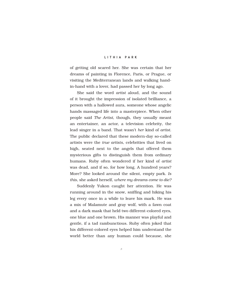of getting old scared her. She was certain that her dreams of painting in Florence, Paris, or Prague, or visiting the Mediterranean lands and walking handin-hand with a lover, had passed her by long ago.

She said the word *artist* aloud, and the sound of it brought the impression of isolated brilliance, a person with a hallowed aura, someone whose angelic hands massaged life into a masterpiece. When other people said *The Artist*, though, they usually meant an entertainer, an actor, a television celebrity, the lead singer in a band. That wasn't *her* kind of *artist*. The public declared that these modern-day so-called artists were the *true artists*, celebrities that lived on high, seated next to the angels that offered them mysterious gifts to distinguish them from ordinary humans. Ruby often wondered if her kind of *artist* was dead, and if so, for how long. A hundred years? More? She looked around the silent, empty park. *Is this*, she asked herself, *where my dreams come to die?*

Suddenly Yukon caught her attention. He was running around in the snow, sniffing and hiking his leg every once in a while to leave his mark. He was a mix of Malamute and gray wolf, with a fawn coat and a dark mask that held two different-colored eyes, one blue and one brown. His manner was playful and gentle, if a tad rambunctious. Ruby often joked that his different-colored eyes helped him understand the world better than any human could because, she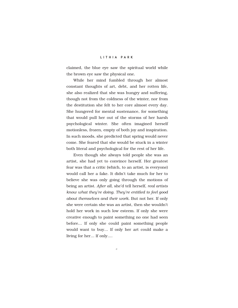claimed, the blue eye saw the spiritual world while the brown eye saw the physical one.

While her mind fumbled through her almost constant thoughts of art, debt, and her rotten life, she also realized that she was hungry and suffering, though not from the coldness of the winter, nor from the destitution she felt to her core almost every day. She hungered for mental sustenance, for something that would pull her out of the storms of her harsh psychological winter. She often imagined herself motionless, frozen, empty of both joy and inspiration. In such moods, she predicted that spring would never come. She feared that she would be stuck in a winter both literal and psychological for the rest of her life.

Even though she always told people she was an artist, she had yet to convince herself. Her greatest fear was that a critic (which, to an artist, is everyone) would call her a fake. It didn't take much for her to believe she was only going through the motions of being an artist. *After all*, she'd tell herself, *real artists know what they're doing*. *They're entitled to feel good about themselves and their work.* But not her. If only she were certain she was an artist, then she wouldn't hold her work in such low esteem. If only she were creative enough to paint something no one had seen before… If only she could paint something people would want to buy… If only her art could make a living for her… If only….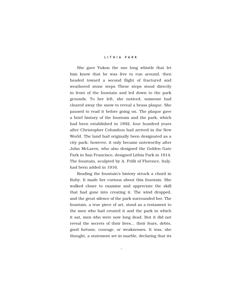She gave Yukon the one long whistle that let him know that he was free to run around, then headed toward a second flight of fractured and weathered stone steps These steps stood directly in front of the fountain and led down to the park grounds. To her left, she noticed, someone had cleared away the snow to reveal a brass plaque. She paused to read it before going on. The plaque gave a brief history of the fountain and the park, which had been established in 1892, four hundred years after Christopher Columbus had arrived in the New World. The land had originally been designated as a city park; however, it only became noteworthy after John McLaren, who also designed the Golden Gate Park in San Francisco, designed Lithia Park in 1914. The fountain, sculpted by A. Frilli of Florence, Italy, had been added in 1916.

Reading the fountain's history struck a chord in Ruby. It made her curious about this fountain. She walked closer to examine and appreciate the skill that had gone into creating it. The wind dropped, and the great silence of the park surrounded her. The fountain, a true piece of art, stood as a testament to the men who had created it and the park in which it sat, men who were now long dead. But it did not reveal the secrets of their lives… their fears, debts, good fortune, courage, or weaknesses. It was, she thought, a statement set in marble, declaring that its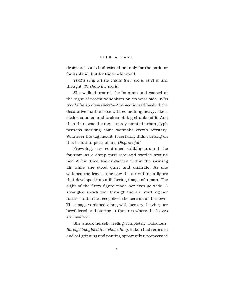designers' souls had existed not only for the park, or for Ashland, but for the whole world.

*That's why artists create their work, isn't it,* she thought. *To show the world.* 

She walked around the fountain and gasped at the sight of recent vandalism on its west side. *Who would be so disrespectful?* Someone had bashed the decorative marble base with something heavy, like a sledgehammer, and broken off big chunks of it. And then there was the tag, a spray-painted urban glyph perhaps marking some wannabe crew's territory. Whatever the tag meant, it certainly didn't belong on this beautiful piece of art. *Disgraceful!*

Frowning, she continued walking around the fountain as a damp mist rose and swirled around her. A few dried leaves danced within the swirling air while she stood quiet and unafraid. As she watched the leaves, she saw the air outline a figure that developed into a flickering image of a man. The sight of the fuzzy figure made her eyes go wide. A strangled shriek tore through the air, startling her further until she recognized the scream as her own. The image vanished along with her cry, leaving her bewildered and staring at the area where the leaves still swirled.

She shook herself, feeling completely ridiculous. *Surely I imagined the whole thing.* Yukon had returned and sat grinning and panting apparently unconcerned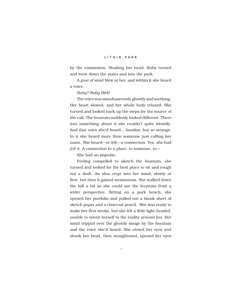by the commotion. Shaking her head, Ruby turned and went down the stairs and into the park.

A gust of wind blew at her, and within it she heard a voice.

#### *Ruby? Ruby Birk!*

The voice was simultaneously ghostly and soothing. Her heart slowed, and her whole body relaxed. She turned and looked back up the steps for the source of the call. The fountain suddenly looked different. There was something about it she couldn't quite identify. And that voice she'd heard… familiar, but so strange. In it she heard more than someone just calling her name. She heard—or felt—a connection. Yes, she had *felt* it. A connection to a place, to someone, to—

She had an impulse.

Feeling compelled to sketch the fountain, she turned and looked for the best place to sit and rough out a draft. An idea crept into her mind, slowly at first, but then it gained momentum. She walked down the hill a bit so she could see the fountain from a wider perspective. Sitting on a park bench, she opened her portfolio and pulled out a blank sheet of sketch paper and a charcoal pencil. She was ready to make her first stroke, but she felt a little light-headed, unable to orient herself to the reality around her. Her mind tripped over the ghostly image by the fountain and the voice she'd heard. She closed her eyes and shook her head, then straightened, opened her eyes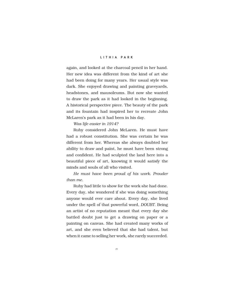again, and looked at the charcoal pencil in her hand. Her new idea was different from the kind of art she had been doing for many years. Her usual style was dark. She enjoyed drawing and painting graveyards, headstones, and mausoleums. But now she wanted to draw the park as it had looked in the beginning. A historical perspective piece. The beauty of the park and its fountain had inspired her to recreate John McLaren's park as it had been in his day.

*Was life easier in 1914?* 

Ruby considered John McLaren. He must have had a robust constitution. She was certain he was different from her. Whereas she always doubted her ability to draw and paint, he must have been strong and confident. He had sculpted the land here into a beautiful piece of art, knowing it would satisfy the minds and souls of all who visited.

*He must have been proud of his work. Prouder than me.* 

Ruby had little to show for the work she had done. Every day, she wondered if she was doing something anyone would ever care about. Every day, she lived under the spell of that powerful word, *DOUBT*. Being an artist of no reputation meant that every day she battled doubt just to get a drawing on paper or a painting on canvas. She had created many works of art, and she even believed that she had talent, but when it came to selling her work, she rarely succeeded.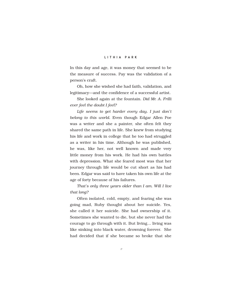In this day and age, it was money that seemed to be the measure of success. Pay was the validation of a person's craft.

Oh, how she wished she had faith, validation, and legitimacy—and the confidence of a successful artist.

She looked again at the fountain. *Did Mr. A. Frilli ever feel the doubt I feel?* 

*Life seems to get harder every day. I just don't belong to this world.* Even though Edgar Allen Poe was a writer and she a painter, she often felt they shared the same path in life. She knew from studying his life and work in college that he too had struggled as a writer in his time. Although he was published, he was, like her, not well known and made very little money from his work. He had his own battles with depression. What she feared most was that her journey through life would be cut short as his had been. Edgar was said to have taken his own life at the age of forty because of his failures.

*That's only three years older than I am. Will I live that long?*

Often isolated, cold, empty, and fearing she was going mad, Ruby thought about her suicide. Yes, she called it her suicide. She had ownership of it. Sometimes she wanted to die, but she never had the courage to go through with it. But living… living was like sinking into black water, drowning forever. She had decided that if she became so broke that she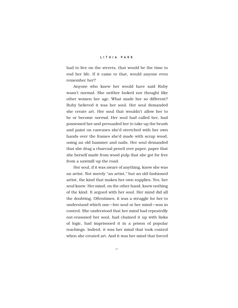had to live on the streets, that would be the time to end her life. If it came to that, would anyone even remember her?

Anyone who knew her would have said Ruby wasn't normal. She neither looked nor thought like other women her age. What made her so different? Ruby believed it was her soul. Her soul demanded she create art. Her soul that wouldn't allow her to be or become *normal*. Her soul had called her, had possessed her and persuaded her to take up the brush and paint on canvases she'd stretched with her own hands over the frames she'd made with scrap wood, using an old hammer and nails. Her soul demanded that she drag a charcoal pencil over paper, paper that she herself made from wood pulp that she got for free from a sawmill up the road.

Her soul, if it was aware of anything, knew she was an artist. Not merely "an artist," but an old-fashioned artist, the kind that makes her own supplies. Yes, her soul knew. Her mind, on the other hand, knew nothing of the kind. It argued with her soul. Her mind did all the doubting. Oftentimes, it was a struggle for her to understand which one—her soul or her mind—was in control. She understood that her mind had repeatedly out-reasoned her soul, had chained it up with links of logic, had imprisoned it in a prison of popular teachings. Indeed, it was her mind that took control when she created art. And it was her mind that forced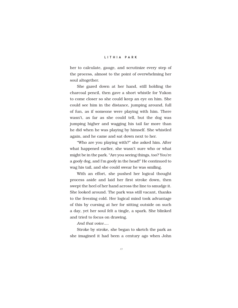her to calculate, gauge, and scrutinize every step of the process, almost to the point of overwhelming her soul altogether.

She gazed down at her hand, still holding the charcoal pencil, then gave a short whistle for Yukon to come closer so she could keep an eye on him. She could see him in the distance, jumping around, full of fun, as if someone were playing with him. There wasn't, as far as she could tell, but the dog was jumping higher and wagging his tail far more than he did when he was playing by himself. She whistled again, and he came and sat down next to her.

"Who are you playing with?" she asked him. After what happened earlier, she wasn't sure who or what might be in the park. "Are you seeing things, too? You're a goofy dog, and I'm goofy in the head!" He continued to wag his tail, and she could swear he was smiling.

With an effort, she pushed her logical thought process aside and laid her first stroke down, then swept the heel of her hand across the line to smudge it. She looked around. The park was still vacant, thanks to the freezing cold. Her logical mind took advantage of this by cursing at her for sitting outside on such a day, yet her soul felt a tingle, a spark. She blinked and tried to focus on drawing.

*And that voice….*

Stroke by stroke, she began to sketch the park as she imagined it had been a century ago when John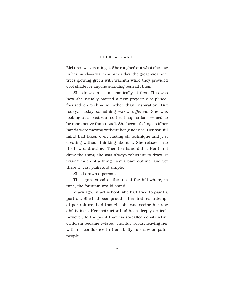McLaren was creating it. She roughed out what she saw in her mind—a warm summer day, the great sycamore trees glowing green with warmth while they provided cool shade for anyone standing beneath them.

She drew almost mechanically at first. This was how she usually started a new project: disciplined, focused on technique rather than inspiration. But today… today something was… *different*. She was looking at a past era, so her imagination seemed to be more active than usual. She began feeling as if her hands were moving without her guidance. Her soulful mind had taken over, casting off technique and just creating without thinking about it. She relaxed into the flow of drawing. Then her hand did it. Her hand drew the thing she was always reluctant to draw. It wasn't much of a thing, just a bare outline, and yet there it was, plain and simple.

She'd drawn a person.

The figure stood at the top of the hill where, in time, the fountain would stand.

Years ago, in art school, she had tried to paint a portrait. She had been proud of her first real attempt at portraiture, had thought she was seeing her raw ability in it. Her instructor had been deeply critical, however, to the point that his so-called constructive criticism became twisted, hurtful words, leaving her with no confidence in her ability to draw or paint people.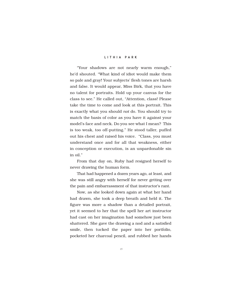"Your shadows are not nearly warm enough," he'd shouted. "What kind of idiot would make them so pale and gray! Your subjects' flesh tones are harsh and false. It would appear, Miss Birk, that you have no talent for portraits. Hold up your canvas for the class to see." He called out, "Attention, class! Please take the time to come and look at this portrait. This is exactly what you should *not* do. You should try to match the basis of color as you have it against your model's face and neck. Do you see what I mean? This is too weak, too off-putting." He stood taller, puffed out his chest and raised his voice. "Class, you must understand once and for all that weakness, either in conception or execution, is an unpardonable sin in oil."

From that day on, Ruby had resigned herself to never drawing the human form.

That had happened a dozen years ago, at least, and she was still angry with herself for never getting over the pain and embarrassment of that instructor's rant.

Now, as she looked down again at what her hand had drawn, she took a deep breath and held it. The figure was more a shadow than a detailed portrait, yet it seemed to her that the spell her art instructor had cast on her imagination had somehow just been shattered. She gave the drawing a nod and a satisfied smile, then tucked the paper into her portfolio, pocketed her charcoal pencil, and rubbed her hands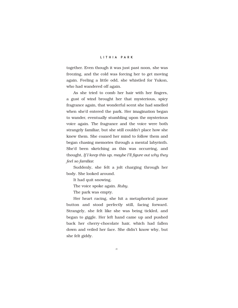together. Even though it was just past noon, she was freezing, and the cold was forcing her to get moving again. Feeling a little odd, she whistled for Yukon, who had wandered off again.

As she tried to comb her hair with her fingers, a gust of wind brought her that mysterious, spicy fragrance again, that wonderful scent she had smelled when she'd entered the park. Her imagination began to wander, eventually stumbling upon the mysterious voice again. The fragrance and the voice were both strangely familiar, but she still couldn't place how she knew them. She coaxed her mind to follow them and began chasing memories through a mental labyrinth. She'd been sketching as this was occurring, and thought, *If I keep this up, maybe I'll figure out why they feel so familiar.* 

Suddenly, she felt a jolt charging through her body. She looked around.

It had quit snowing.

The voice spoke again. *Ruby*.

The park was empty.

Her heart racing, she hit a metaphorical pause button and stood perfectly still, facing forward. Strangely, she felt like she was being tickled, and began to giggle. Her left hand came up and pushed back her cherry-chocolate hair, which had fallen down and veiled her face. She didn't know why, but she felt giddy.